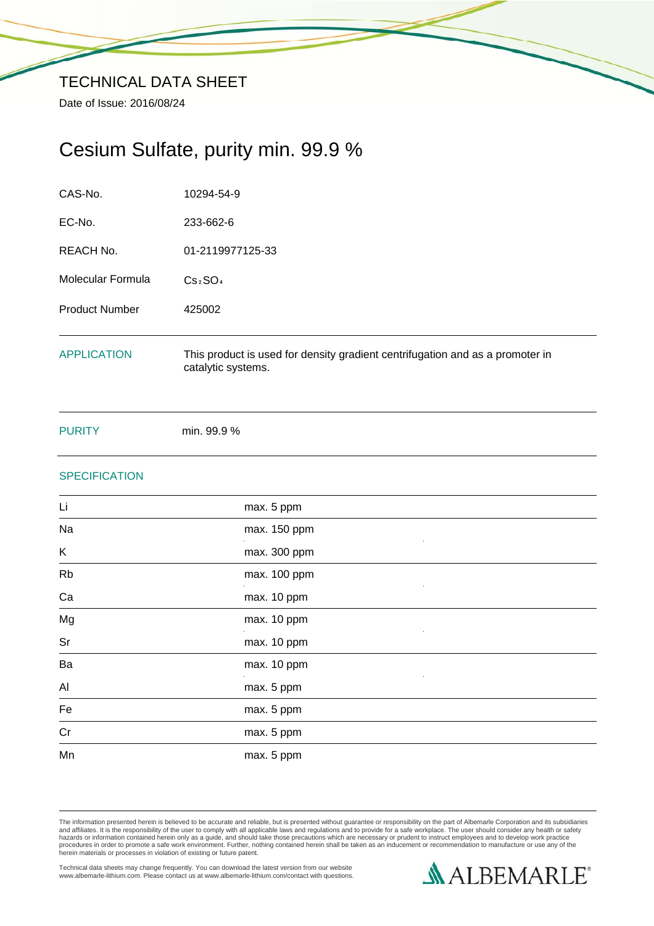# Cesium Sulfate, purity min. 99.9 %

| CAS-No.               | 10294-54-9                                                                                          |
|-----------------------|-----------------------------------------------------------------------------------------------------|
| EC-No.                | 233-662-6                                                                                           |
| REACH No.             | 01-2119977125-33                                                                                    |
| Molecular Formula     | Cs <sub>2</sub> SO <sub>4</sub>                                                                     |
| <b>Product Number</b> | 425002                                                                                              |
| <b>APPLICATION</b>    | This product is used for density gradient centrifugation and as a promoter in<br>catalytic systems. |

PURITY min. 99.9 %

# **SPECIFICATION**

| Li        | max. 5 ppm   |
|-----------|--------------|
| Na        | max. 150 ppm |
| K         | max. 300 ppm |
| <b>Rb</b> | max. 100 ppm |
| Ca        | max. 10 ppm  |
| Mg        | max. 10 ppm  |
| Sr        | max. 10 ppm  |
| Ba        | max. 10 ppm  |
| Al        | max. 5 ppm   |
| Fe        | max. 5 ppm   |
| Cr        | max. 5 ppm   |
| Mn        | max. 5 ppm   |

The information presented herein is believed to be accurate and reliable, but is presented without guarantee or responsibility on the part of Albemarle Corporation and its subsidiaries<br>and affiliates. It is the responsibil

Technical data sheets may change frequently. You can download the latest version from our website www.albemarle-lithium.com. Please contact us at www.albemarle-lithium.com/contact with questions.

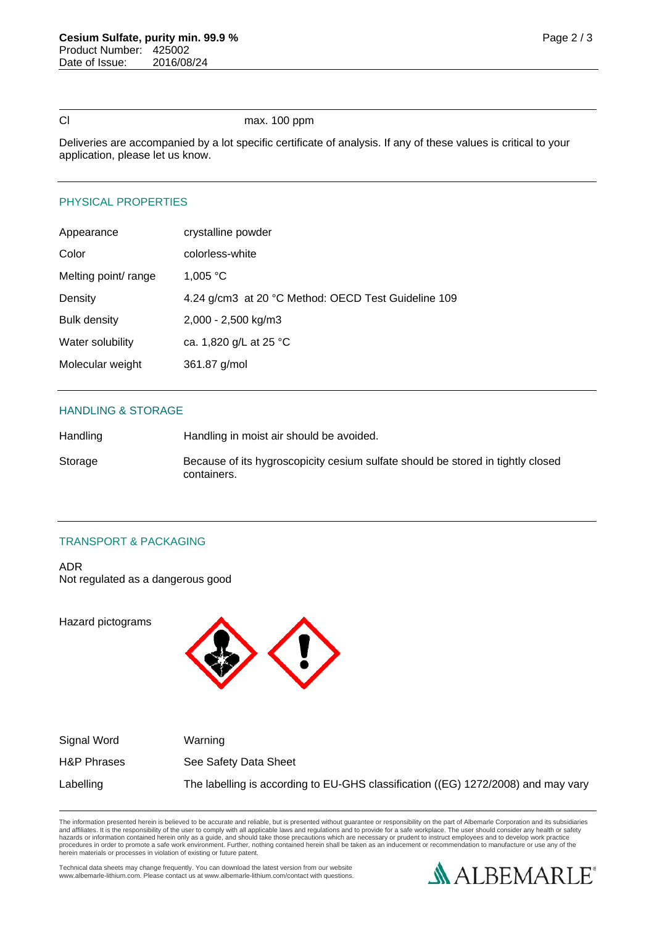### Cl max. 100 ppm

Deliveries are accompanied by a lot specific certificate of analysis. If any of these values is critical to your application, please let us know.

# PHYSICAL PROPERTIES

| Appearance           | crystalline powder                                  |
|----------------------|-----------------------------------------------------|
| Color                | colorless-white                                     |
| Melting point/ range | 1,005 °C                                            |
| Density              | 4.24 g/cm3 at 20 °C Method: OECD Test Guideline 109 |
| <b>Bulk density</b>  | 2,000 - 2,500 kg/m3                                 |
| Water solubility     | ca. 1,820 g/L at 25 °C                              |
| Molecular weight     | 361.87 g/mol                                        |

### HANDLING & STORAGE

| Handling | Handling in moist air should be avoided.                                                       |
|----------|------------------------------------------------------------------------------------------------|
| Storage  | Because of its hygroscopicity cesium sulfate should be stored in tightly closed<br>containers. |

# TRANSPORT & PACKAGING

ADR Not regulated as a dangerous good

Hazard pictograms



| Signal Word | Warning                                                                           |
|-------------|-----------------------------------------------------------------------------------|
| H&P Phrases | See Safety Data Sheet                                                             |
| Labelling   | The labelling is according to EU-GHS classification ((EG) 1272/2008) and may vary |

The information presented herein is believed to be accurate and reliable, but is presented without guarantee or responsibility on the part of Albemarle Corporation and its subsidiaries<br>and affiliates. It is the responsibil

Technical data sheets may change frequently. You can download the latest version from our website www.albemarle-lithium.com. Please contact us at www.albemarle-lithium.com/contact with questions.